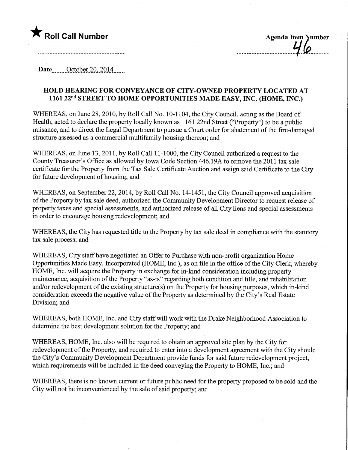

Date........October 20,2014,

## HOLD HEARING FOR CONVEYANCE OF CITY-OWNED PROPERTY LOCATED AT 1161 22nd STREET TO HOME OPPORTUNITIES MADE EASY, INC. (HOME, INC.)

WHEREAS, on June 28, 2010, by Roll Call No. 10-1104, the City Council, acting as the Board of Health, acted to declare the property locally known as 1 161 22nd Street ("Property") to be a public nuisance, and to direct the Legal Department to pursue a Court order for abatement of the fire-damaged structure assessed as a commercial multifamily housing thereon; and

WHEREAS, on June 13, 2011, by Roll Call 11-1000, the City Council authorized a request to the County Treasurer's Office as allowed by Iowa Code Section 446.19A to remove the 2011 tax sale certificate for the Property from the Tax Sale Certificate Auction and assign said Certificate to the City for future development of housing; and

WHEREAS, on September 22, 2014, by Roll Call No. 14-1451, fhe City Council approved acquisition of the Property by tax sale deed, authorized the Community Development Director to request release of property taxes and special assessments, and authorized release of all City liens and special assessments in order to encourage housing redevelopment; and

WHEREAS, the City has requested title to the Property by tax sale deed in compliance with the statutory tax sale process; and

WHEREAS, City staff have negotiated an Offer to Purchase with non-profit organization Home Opportunities Made Easy, Incorporated (HOME, Inc.), as on file in the office of the City Clerk, whereby HOME, Inc. will acquire the Property in exchange for in-kind consideration including property maintenance, acquisition of the Property "as-is" regarding both condition and title, and rehabilitation and/or redevelopment of the existing structure(s) on the Property for housing purposes, which in-kind consideration exceeds the negative value of the Property as determined by the City's Real Estate Division; and

WHEREAS, both HOME, Inc. and City staff will work with the Drake Neighborhood Association to determine the best development solution for the Property; and

WHEREAS, HOME, Inc. also will be required to obtain an approved site plan by the City for redevelopment of the Property, and required to enter into a development agreement with the City should the City's Community Development Department provide funds for said future redevelopment project, which requirements will be included in the deed conveying the Property to HOME, Inc.; and

WHEREAS, there is no known current or future public need for the property proposed to be sold and the City will not be inconvenienced by the sale of said property; and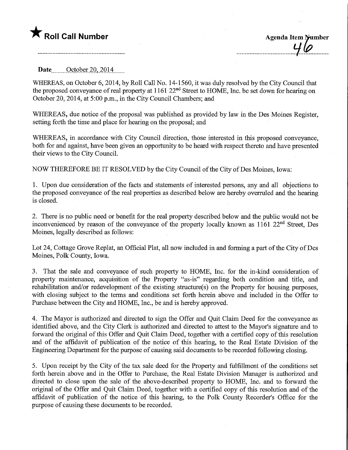## **T** Roll Call Number Agenda Item lumber

Date ........October 20,2014,

WHEREAS, on October 6, 2014, by Roll Call No. 14-1560, it was duly resolved by the City Council that the proposed conveyance of real property at 1161 22<sup>nd</sup> Street to HOME, Inc. be set down for hearing on October 20, 2014, at 5:00 p.m., in the City Council Chambers; and

WHEREAS, due notice of the proposal was published as provided by law in the Des Moines Register, setting forth the time and place for hearing on the proposal; and

WHEREAS, in accordance with City Council direction, those interested in this proposed conveyance, both for and against, have been given an opportunity to be heard with respect thereto and have presented their views to the City Council.

NOW THEREFORE BE IT RESOLVED by the City Council of the City of Des Moines, Iowa:

1. Upon due consideration of the facts and statements of interested persons, any and all objections to the proposed conveyance of the real properties as described below are hereby overruled and the hearing is closed.

2. There is no public need or benefit for the real property described below and the public would not be inconvenienced by reason of the conveyance of the property locally known as 1161 22<sup>nd</sup> Street, Des Moines, legally described as follows:

Lot 24, Cottage Grove Replat, an Official Plat, all now included in and forming a part of the City of Des Moines, Polk County, Iowa.

3. That the sale and conveyance of such property to HOME, Inc. for the in-kind consideration of property maintenance, acquisition of the Property "as-is" regarding both condition and title, and rehabilitation and/or redevelopment of the existing structure(s) on the Property for housing purposes, with closing subject to the terms and conditions set forth herein above and included in the Offer to Purchase between the City and HOME, Inc., be and is hereby approved.

4. The Mayor is authorized and directed to sign the Offer and Quit Claim Deed for the conveyance as identified above, and the City Clerk is authorized and directed to attest to the Mayor's signature and to forward the original of this Offer and Quit Claim Deed, together with a certified copy of this resolution and of the affidavit of publication of the notice of this hearing, to the Real Estate Division of the Engineering Department for the purpose of causing said documents to be recorded following closing.

5. Upon receipt by the City of the tax sale deed for the Property and fulfillment of the conditions set forth herein above and in the Offer to Purchase, the Real Estate Division Manager is authorized and directed to close upon the sale of the above-described property to HOME, Inc. and to forward the original of the Offer and Quit Claim Deed, together with a certified copy of this resolution and of the affidavit of publication of the notice of this hearing, to the Polk County Recorder's Office for the purpose of causing these documents to be recorded.